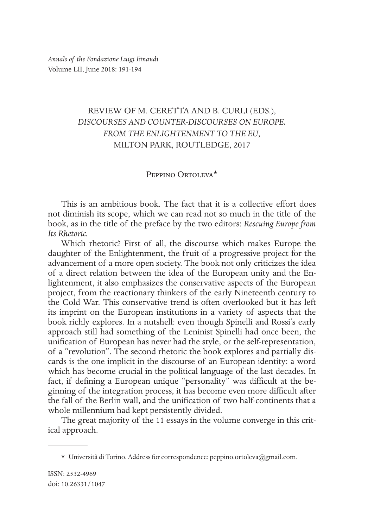## REVIEW OF M. CERETTA AND B. CURLI (EDS.), *DISCOURSES AND COUNTER-DISCOURSES ON EUROPE. FROM THE ENLIGHTENMENT TO THE EU*, MILTON PARK, ROUTLEDGE, 2017

## Peppino Ortoleva\*

This is an ambitious book. The fact that it is a collective effort does not diminish its scope, which we can read not so much in the title of the book, as in the title of the preface by the two editors: *Rescuing Europe from Its Rhetoric.* 

Which rhetoric? First of all, the discourse which makes Europe the daughter of the Enlightenment, the fruit of a progressive project for the advancement of a more open society. The book not only criticizes the idea of a direct relation between the idea of the European unity and the Enlightenment, it also emphasizes the conservative aspects of the European project, from the reactionary thinkers of the early Nineteenth century to the Cold War. This conservative trend is often overlooked but it has left its imprint on the European institutions in a variety of aspects that the book richly explores. In a nutshell: even though Spinelli and Rossi's early approach still had something of the Leninist Spinelli had once been, the unification of European has never had the style, or the self-representation, of a "revolution". The second rhetoric the book explores and partially discards is the one implicit in the discourse of an European identity: a word which has become crucial in the political language of the last decades. In fact, if defining a European unique "personality" was difficult at the beginning of the integration process, it has become even more difficult after the fall of the Berlin wall, and the unification of two half-continents that a whole millennium had kept persistently divided.

The great majority of the 11 essays in the volume converge in this critical approach.

<sup>\*</sup> Università di Torino. Address for correspondence: peppino.ortoleva@gmail.com.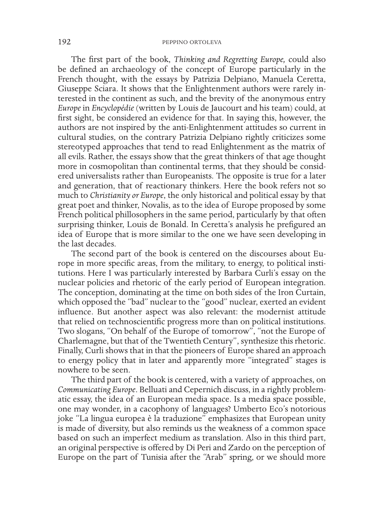The first part of the book, *Thinking and Regretting Europe,* could also be defined an archaeology of the concept of Europe particularly in the French thought, with the essays by Patrizia Delpiano, Manuela Ceretta, Giuseppe Sciara. It shows that the Enlightenment authors were rarely interested in the continent as such, and the brevity of the anonymous entry *Europe* in *Encyclopédie* (written by Louis de Jaucourt and his team) could, at first sight, be considered an evidence for that. In saying this, however, the authors are not inspired by the anti-Enlightenment attitudes so current in cultural studies, on the contrary Patrizia Delpiano rightly criticizes some stereotyped approaches that tend to read Enlightenment as the matrix of all evils. Rather, the essays show that the great thinkers of that age thought more in cosmopolitan than continental terms, that they should be considered universalists rather than Europeanists. The opposite is true for a later and generation, that of reactionary thinkers. Here the book refers not so much to *Christianity or Europe*, the only historical and political essay by that great poet and thinker, Novalis, as to the idea of Europe proposed by some French political phillosophers in the same period, particularly by that often surprising thinker, Louis de Bonald. In Ceretta's analysis he prefigured an idea of Europe that is more similar to the one we have seen developing in the last decades.

The second part of the book is centered on the discourses about Europe in more specific areas, from the military, to energy, to political institutions. Here I was particularly interested by Barbara Curli's essay on the nuclear policies and rhetoric of the early period of European integration. The conception, dominating at the time on both sides of the Iron Curtain, which opposed the "bad" nuclear to the "good" nuclear, exerted an evident influence. But another aspect was also relevant: the modernist attitude that relied on technoscientific progress more than on political institutions. Two slogans, "On behalf of the Europe of tomorrow", "not the Europe of Charlemagne, but that of the Twentieth Century", synthesize this rhetoric. Finally, Curli shows that in that the pioneers of Europe shared an approach to energy policy that in later and apparently more "integrated" stages is nowhere to be seen.

The third part of the book is centered, with a variety of approaches, on *Communicating Europe*. Belluati and Cepernich discuss, in a rightly problematic essay, the idea of an European media space. Is a media space possible, one may wonder, in a cacophony of languages? Umberto Eco's notorious joke "La lingua europea è la traduzione" emphasizes that European unity is made of diversity, but also reminds us the weakness of a common space based on such an imperfect medium as translation. Also in this third part, an original perspective is offered by Di Peri and Zardo on the perception of Europe on the part of Tunisia after the "Arab" spring, or we should more